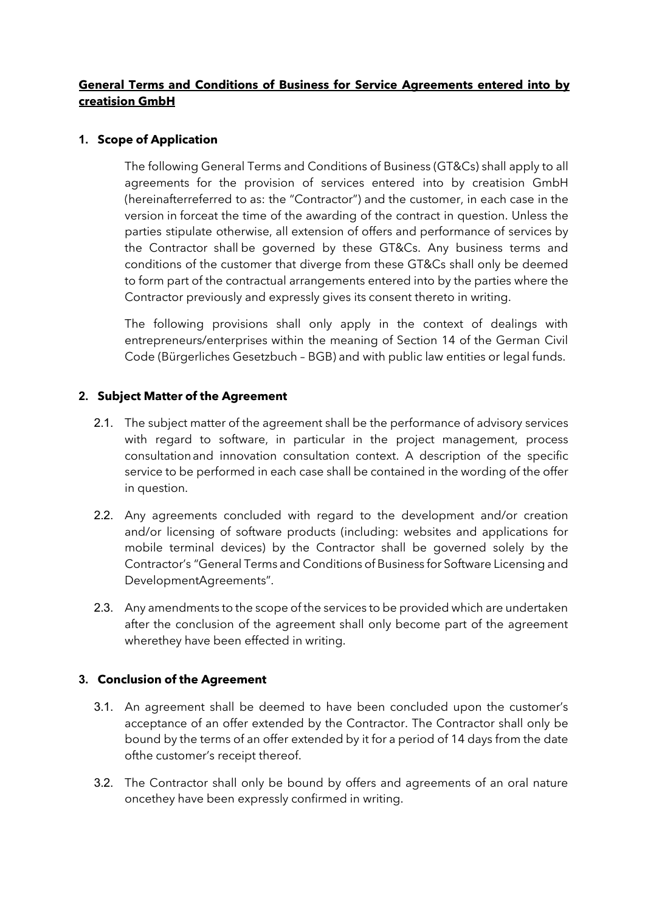## **General Terms and Conditions of Business for Service Agreements entered into by creatision GmbH**

### **1. Scope of Application**

The following General Terms and Conditions of Business (GT&Cs) shall apply to all agreements for the provision of services entered into by creatision GmbH (hereinafterreferred to as: the "Contractor") and the customer, in each case in the version in forceat the time of the awarding of the contract in question. Unless the parties stipulate otherwise, all extension of offers and performance of services by the Contractor shall be governed by these GT&Cs. Any business terms and conditions of the customer that diverge from these GT&Cs shall only be deemed to form part of the contractual arrangements entered into by the parties where the Contractor previously and expressly gives its consent thereto in writing.

The following provisions shall only apply in the context of dealings with entrepreneurs/enterprises within the meaning of Section 14 of the German Civil Code (Bürgerliches Gesetzbuch – BGB) and with public law entities or legal funds.

### **2. Subject Matter of the Agreement**

- 2.1. The subject matter of the agreement shall be the performance of advisory services with regard to software, in particular in the project management, process consultationand innovation consultation context. A description of the specific service to be performed in each case shall be contained in the wording of the offer in question.
- 2.2. Any agreements concluded with regard to the development and/or creation and/or licensing of software products (including: websites and applications for mobile terminal devices) by the Contractor shall be governed solely by the Contractor's "General Terms and Conditions of Business for Software Licensing and DevelopmentAgreements".
- 2.3. Any amendments to the scope of the services to be provided which are undertaken after the conclusion of the agreement shall only become part of the agreement wherethey have been effected in writing.

### **3. Conclusion of the Agreement**

- 3.1. An agreement shall be deemed to have been concluded upon the customer's acceptance of an offer extended by the Contractor. The Contractor shall only be bound by the terms of an offer extended by it for a period of 14 days from the date ofthe customer's receipt thereof.
- 3.2. The Contractor shall only be bound by offers and agreements of an oral nature oncethey have been expressly confirmed in writing.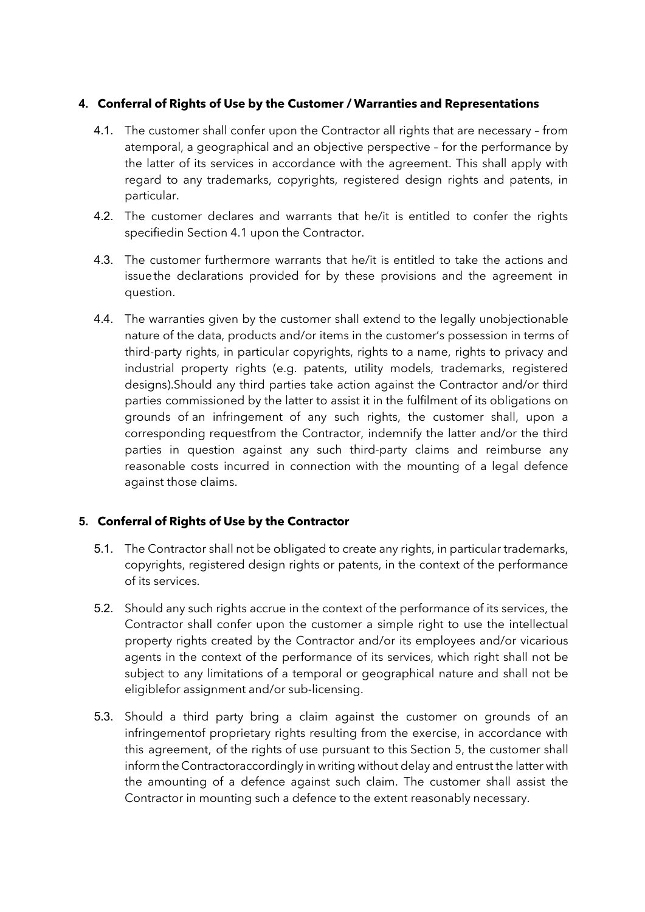### **4. Conferral of Rights of Use by the Customer / Warranties and Representations**

- 4.1. The customer shall confer upon the Contractor all rights that are necessary from atemporal, a geographical and an objective perspective – for the performance by the latter of its services in accordance with the agreement. This shall apply with regard to any trademarks, copyrights, registered design rights and patents, in particular.
- 4.2. The customer declares and warrants that he/it is entitled to confer the rights specifiedin Section 4.1 upon the Contractor.
- 4.3. The customer furthermore warrants that he/it is entitled to take the actions and issuethe declarations provided for by these provisions and the agreement in question.
- 4.4. The warranties given by the customer shall extend to the legally unobjectionable nature of the data, products and/or items in the customer's possession in terms of third-party rights, in particular copyrights, rights to a name, rights to privacy and industrial property rights (e.g. patents, utility models, trademarks, registered designs).Should any third parties take action against the Contractor and/or third parties commissioned by the latter to assist it in the fulfilment of its obligations on grounds of an infringement of any such rights, the customer shall, upon a corresponding requestfrom the Contractor, indemnify the latter and/or the third parties in question against any such third-party claims and reimburse any reasonable costs incurred in connection with the mounting of a legal defence against those claims.

# **5. Conferral of Rights of Use by the Contractor**

- 5.1. The Contractor shall not be obligated to create any rights, in particular trademarks, copyrights, registered design rights or patents, in the context of the performance of its services.
- 5.2. Should any such rights accrue in the context of the performance of its services, the Contractor shall confer upon the customer a simple right to use the intellectual property rights created by the Contractor and/or its employees and/or vicarious agents in the context of the performance of its services, which right shall not be subject to any limitations of a temporal or geographical nature and shall not be eligiblefor assignment and/or sub-licensing.
- 5.3. Should a third party bring a claim against the customer on grounds of an infringementof proprietary rights resulting from the exercise, in accordance with this agreement, of the rights of use pursuant to this Section 5, the customer shall informthe Contractoraccordingly in writing without delay and entrust the latter with the amounting of a defence against such claim. The customer shall assist the Contractor in mounting such a defence to the extent reasonably necessary.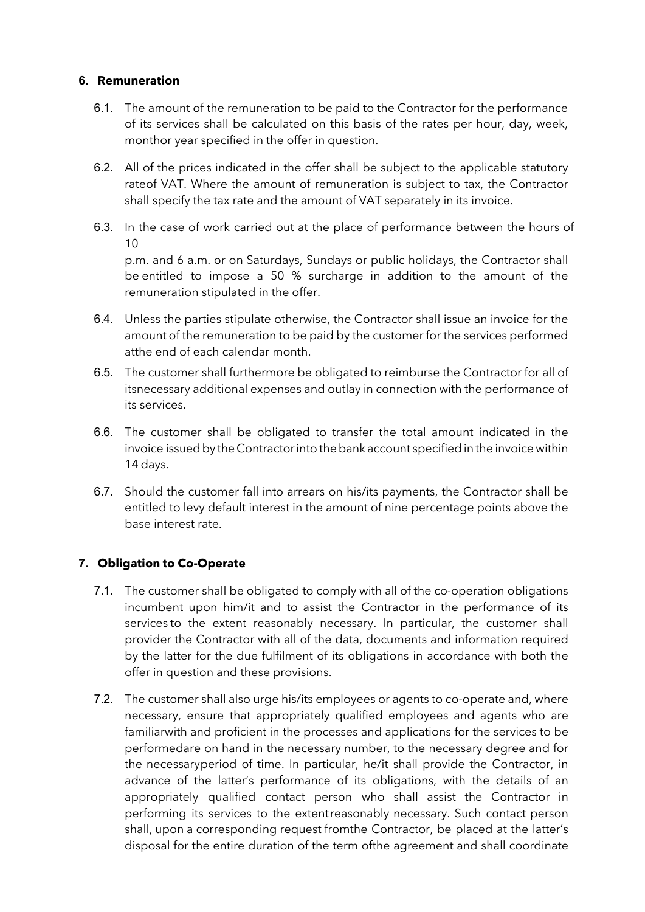#### **6. Remuneration**

- 6.1. The amount of the remuneration to be paid to the Contractor for the performance of its services shall be calculated on this basis of the rates per hour, day, week, monthor year specified in the offer in question.
- 6.2. All of the prices indicated in the offer shall be subject to the applicable statutory rateof VAT. Where the amount of remuneration is subject to tax, the Contractor shall specify the tax rate and the amount of VAT separately in its invoice.
- 6.3. In the case of work carried out at the place of performance between the hours of  $1<sub>0</sub>$ p.m. and 6 a.m. or on Saturdays, Sundays or public holidays, the Contractor shall

be entitled to impose a 50 % surcharge in addition to the amount of the remuneration stipulated in the offer.

- 6.4. Unless the parties stipulate otherwise, the Contractor shall issue an invoice for the amount of the remuneration to be paid by the customer for the services performed atthe end of each calendar month.
- 6.5. The customer shall furthermore be obligated to reimburse the Contractor for all of itsnecessary additional expenses and outlay in connection with the performance of its services.
- 6.6. The customer shall be obligated to transfer the total amount indicated in the invoice issued by the Contractor into the bank account specified in the invoice within 14 days.
- 6.7. Should the customer fall into arrears on his/its payments, the Contractor shall be entitled to levy default interest in the amount of nine percentage points above the base interest rate.

# **7. Obligation to Co-Operate**

- 7.1. The customer shall be obligated to comply with all of the co-operation obligations incumbent upon him/it and to assist the Contractor in the performance of its services to the extent reasonably necessary. In particular, the customer shall provider the Contractor with all of the data, documents and information required by the latter for the due fulfilment of its obligations in accordance with both the offer in question and these provisions.
- 7.2. The customer shall also urge his/its employees or agents to co-operate and, where necessary, ensure that appropriately qualified employees and agents who are familiarwith and proficient in the processes and applications for the services to be performedare on hand in the necessary number, to the necessary degree and for the necessaryperiod of time. In particular, he/it shall provide the Contractor, in advance of the latter's performance of its obligations, with the details of an appropriately qualified contact person who shall assist the Contractor in performing its services to the extentreasonably necessary. Such contact person shall, upon a corresponding request fromthe Contractor, be placed at the latter's disposal for the entire duration of the term ofthe agreement and shall coordinate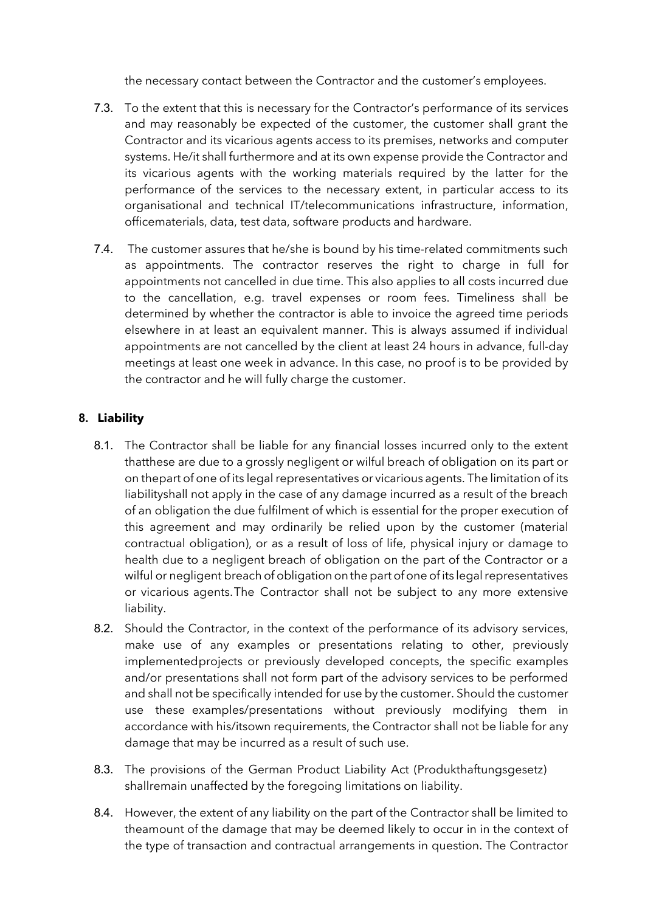the necessary contact between the Contractor and the customer's employees.

- 7.3. To the extent that this is necessary for the Contractor's performance of its services and may reasonably be expected of the customer, the customer shall grant the Contractor and its vicarious agents access to its premises, networks and computer systems. He/it shall furthermore and at its own expense provide the Contractor and its vicarious agents with the working materials required by the latter for the performance of the services to the necessary extent, in particular access to its organisational and technical IT/telecommunications infrastructure, information, officematerials, data, test data, software products and hardware.
- 7.4. The customer assures that he/she is bound by his time-related commitments such as appointments. The contractor reserves the right to charge in full for appointments not cancelled in due time. This also applies to all costs incurred due to the cancellation, e.g. travel expenses or room fees. Timeliness shall be determined by whether the contractor is able to invoice the agreed time periods elsewhere in at least an equivalent manner. This is always assumed if individual appointments are not cancelled by the client at least 24 hours in advance, full-day meetings at least one week in advance. In this case, no proof is to be provided by the contractor and he will fully charge the customer.

# **8. Liability**

- 8.1. The Contractor shall be liable for any financial losses incurred only to the extent thatthese are due to a grossly negligent or wilful breach of obligation on its part or on thepart of one of its legal representatives or vicarious agents. The limitation of its liabilityshall not apply in the case of any damage incurred as a result of the breach of an obligation the due fulfilment of which is essential for the proper execution of this agreement and may ordinarily be relied upon by the customer (material contractual obligation), or as a result of loss of life, physical injury or damage to health due to a negligent breach of obligation on the part of the Contractor or a wilful or negligent breach of obligation on the part of one of its legal representatives or vicarious agents.The Contractor shall not be subject to any more extensive liability.
- 8.2. Should the Contractor, in the context of the performance of its advisory services, make use of any examples or presentations relating to other, previously implementedprojects or previously developed concepts, the specific examples and/or presentations shall not form part of the advisory services to be performed and shall not be specifically intended for use by the customer. Should the customer use these examples/presentations without previously modifying them in accordance with his/itsown requirements, the Contractor shall not be liable for any damage that may be incurred as a result of such use.
- 8.3. The provisions of the German Product Liability Act (Produkthaftungsgesetz) shallremain unaffected by the foregoing limitations on liability.
- 8.4. However, the extent of any liability on the part of the Contractor shall be limited to theamount of the damage that may be deemed likely to occur in in the context of the type of transaction and contractual arrangements in question. The Contractor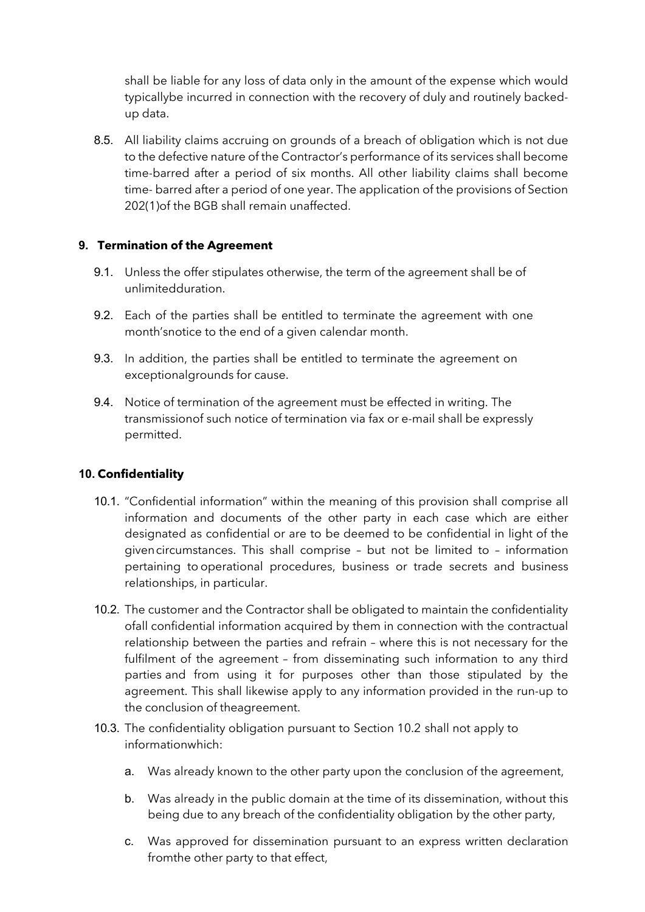shall be liable for any loss of data only in the amount of the expense which would typicallybe incurred in connection with the recovery of duly and routinely backedup data.

8.5. All liability claims accruing on grounds of a breach of obligation which is not due to the defective nature of the Contractor's performance of its services shall become time-barred after a period of six months. All other liability claims shall become time- barred after a period of one year. The application of the provisions of Section 202(1)of the BGB shall remain unaffected.

## **9. Termination of the Agreement**

- 9.1. Unless the offer stipulates otherwise, the term of the agreement shall be of unlimitedduration.
- 9.2. Each of the parties shall be entitled to terminate the agreement with one month'snotice to the end of a given calendar month.
- 9.3. In addition, the parties shall be entitled to terminate the agreement on exceptionalgrounds for cause.
- 9.4. Notice of termination of the agreement must be effected in writing. The transmissionof such notice of termination via fax or e-mail shall be expressly permitted.

# **10. Confidentiality**

- 10.1. "Confidential information" within the meaning of this provision shall comprise all information and documents of the other party in each case which are either designated as confidential or are to be deemed to be confidential in light of the givencircumstances. This shall comprise – but not be limited to – information pertaining to operational procedures, business or trade secrets and business relationships, in particular.
- 10.2. The customer and the Contractor shall be obligated to maintain the confidentiality ofall confidential information acquired by them in connection with the contractual relationship between the parties and refrain – where this is not necessary for the fulfilment of the agreement – from disseminating such information to any third parties and from using it for purposes other than those stipulated by the agreement. This shall likewise apply to any information provided in the run-up to the conclusion of theagreement.
- 10.3. The confidentiality obligation pursuant to Section 10.2 shall not apply to informationwhich:
	- a. Was already known to the other party upon the conclusion of the agreement,
	- b. Was already in the public domain at the time of its dissemination, without this being due to any breach of the confidentiality obligation by the other party,
	- c. Was approved for dissemination pursuant to an express written declaration fromthe other party to that effect,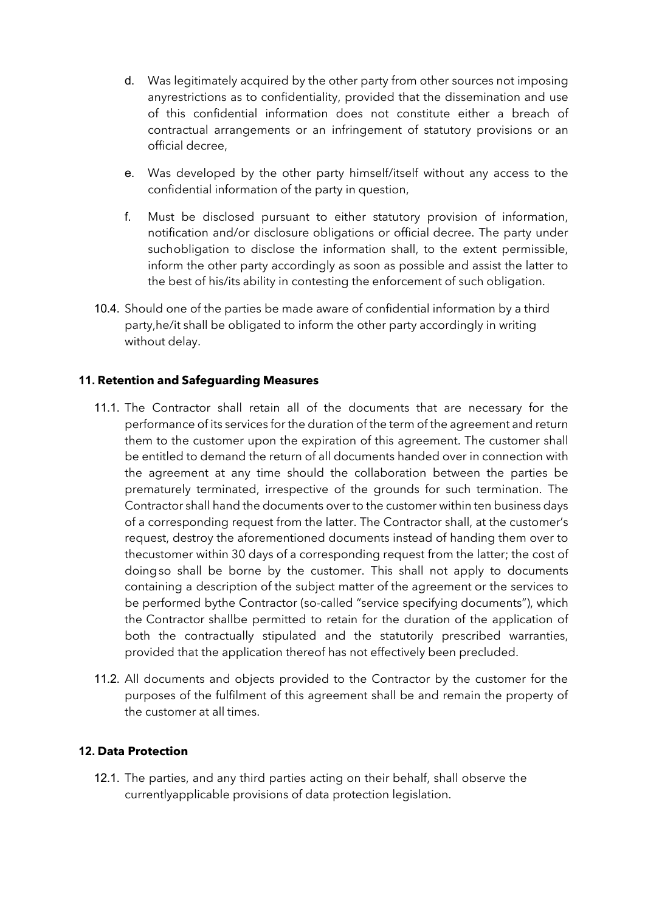- d. Was legitimately acquired by the other party from other sources not imposing anyrestrictions as to confidentiality, provided that the dissemination and use of this confidential information does not constitute either a breach of contractual arrangements or an infringement of statutory provisions or an official decree,
- e. Was developed by the other party himself/itself without any access to the confidential information of the party in question,
- f. Must be disclosed pursuant to either statutory provision of information, notification and/or disclosure obligations or official decree. The party under suchobligation to disclose the information shall, to the extent permissible, inform the other party accordingly as soon as possible and assist the latter to the best of his/its ability in contesting the enforcement of such obligation.
- 10.4. Should one of the parties be made aware of confidential information by a third party,he/it shall be obligated to inform the other party accordingly in writing without delay.

## **11. Retention and Safeguarding Measures**

- 11.1. The Contractor shall retain all of the documents that are necessary for the performance of its services for the duration of the term of the agreement and return them to the customer upon the expiration of this agreement. The customer shall be entitled to demand the return of all documents handed over in connection with the agreement at any time should the collaboration between the parties be prematurely terminated, irrespective of the grounds for such termination. The Contractor shall hand the documents over to the customer within ten business days of a corresponding request from the latter. The Contractor shall, at the customer's request, destroy the aforementioned documents instead of handing them over to thecustomer within 30 days of a corresponding request from the latter; the cost of doingso shall be borne by the customer. This shall not apply to documents containing a description of the subject matter of the agreement or the services to be performed bythe Contractor (so-called "service specifying documents"), which the Contractor shallbe permitted to retain for the duration of the application of both the contractually stipulated and the statutorily prescribed warranties, provided that the application thereof has not effectively been precluded.
- 11.2. All documents and objects provided to the Contractor by the customer for the purposes of the fulfilment of this agreement shall be and remain the property of the customer at all times.

### **12. Data Protection**

12.1. The parties, and any third parties acting on their behalf, shall observe the currentlyapplicable provisions of data protection legislation.